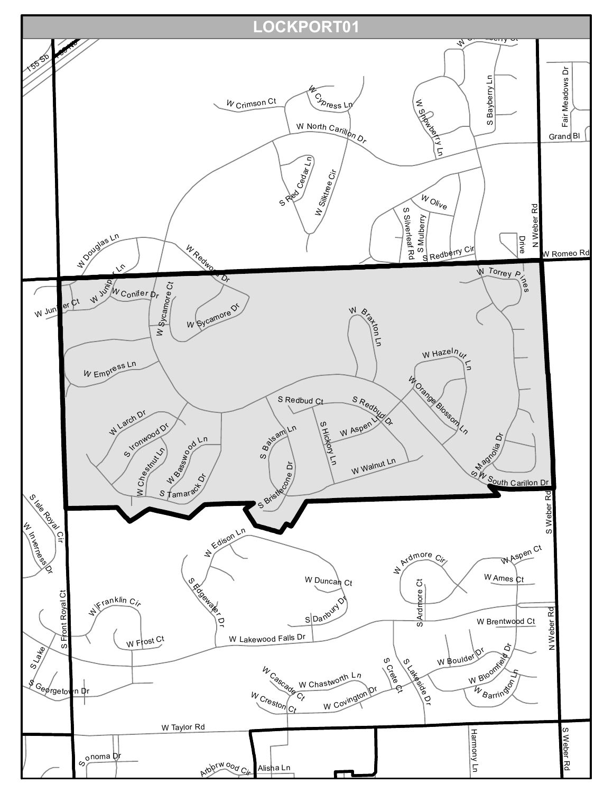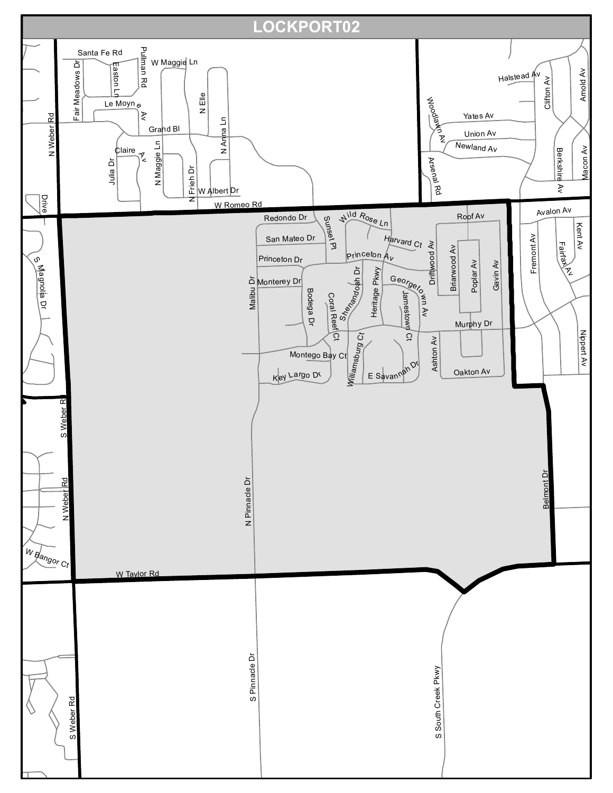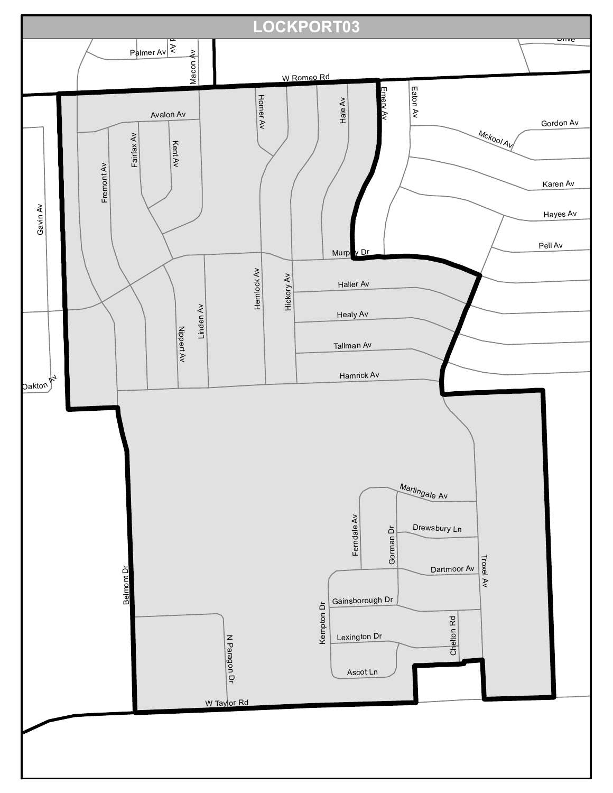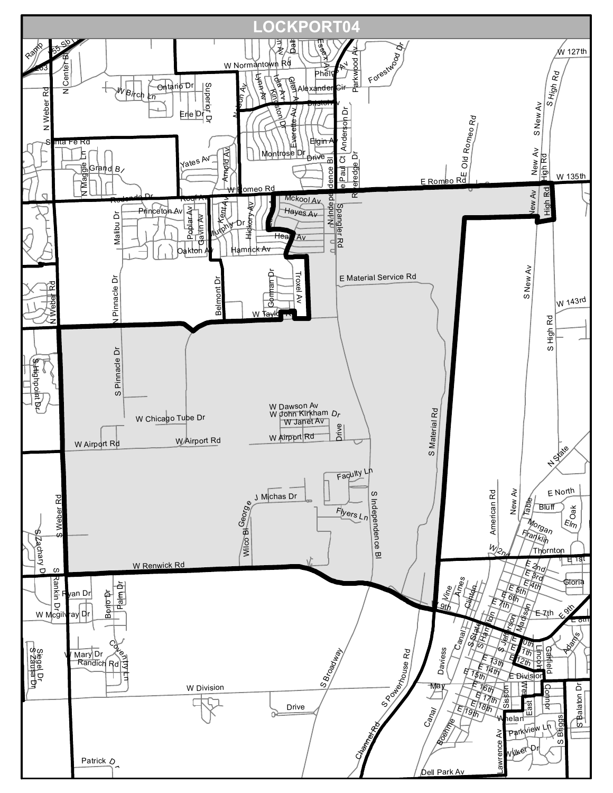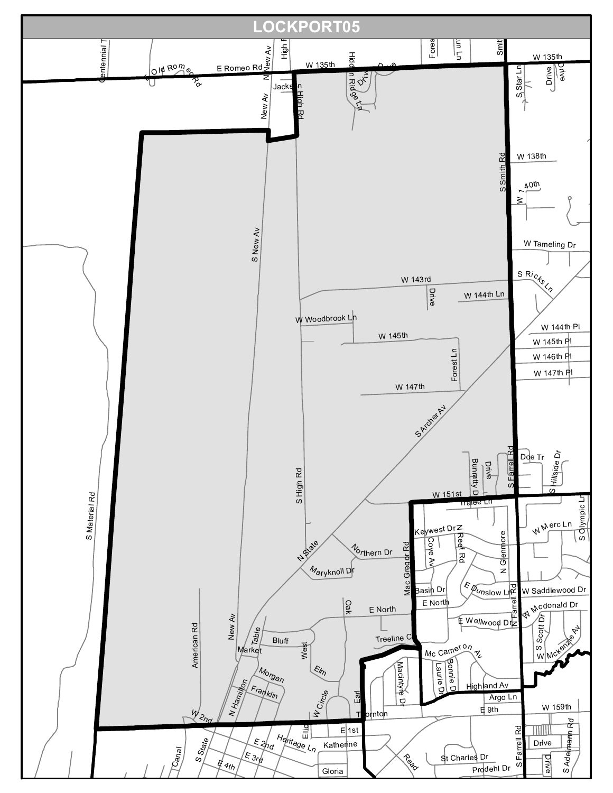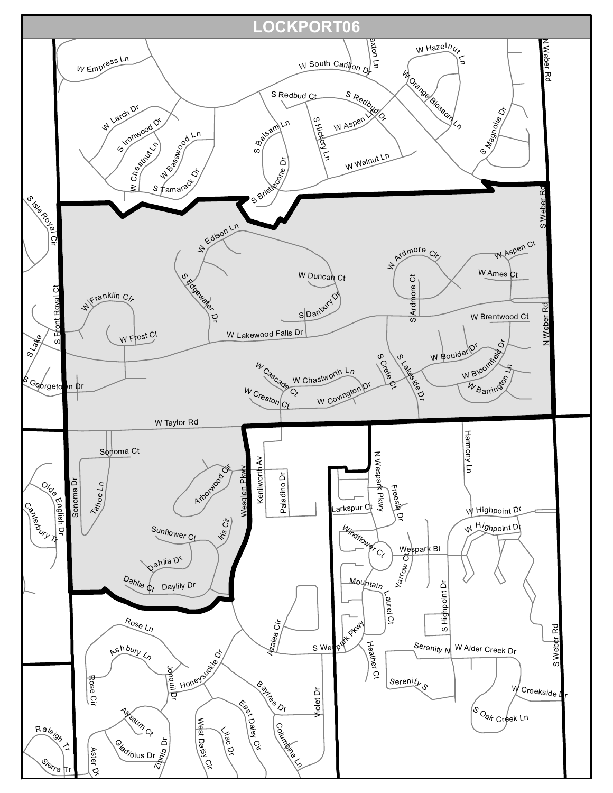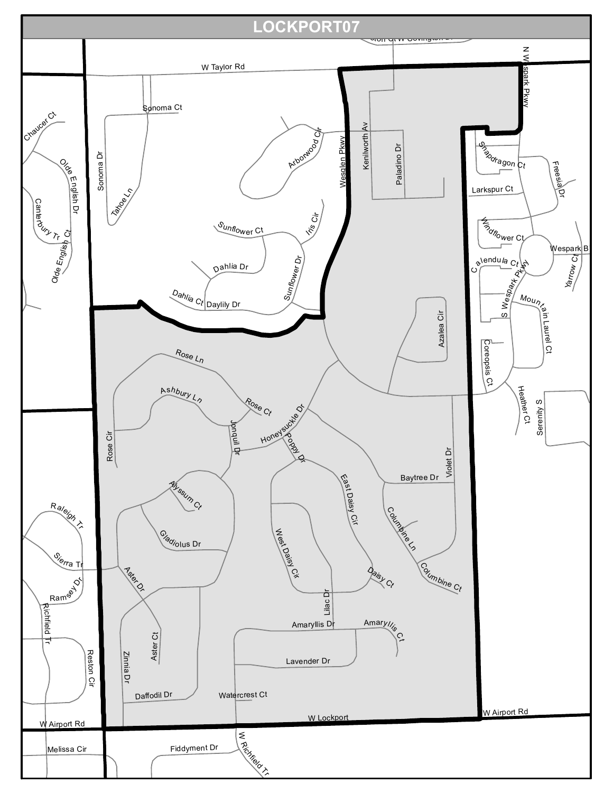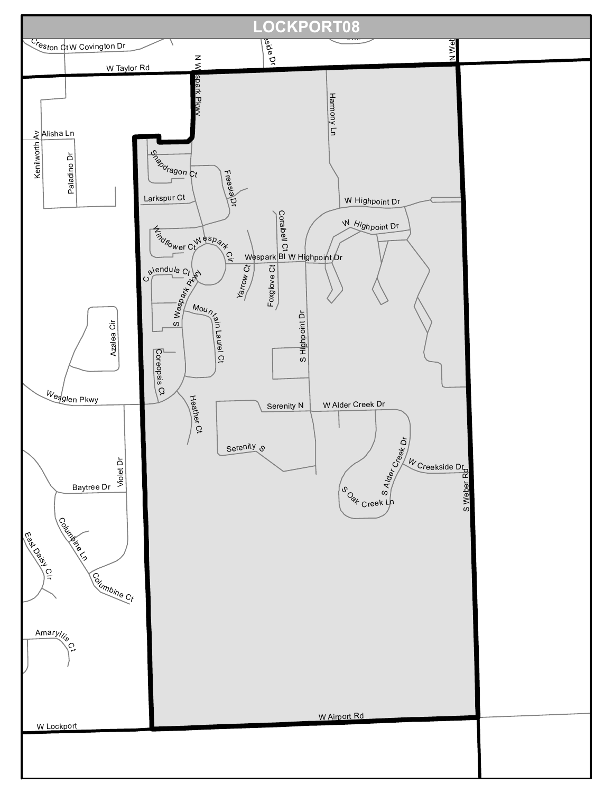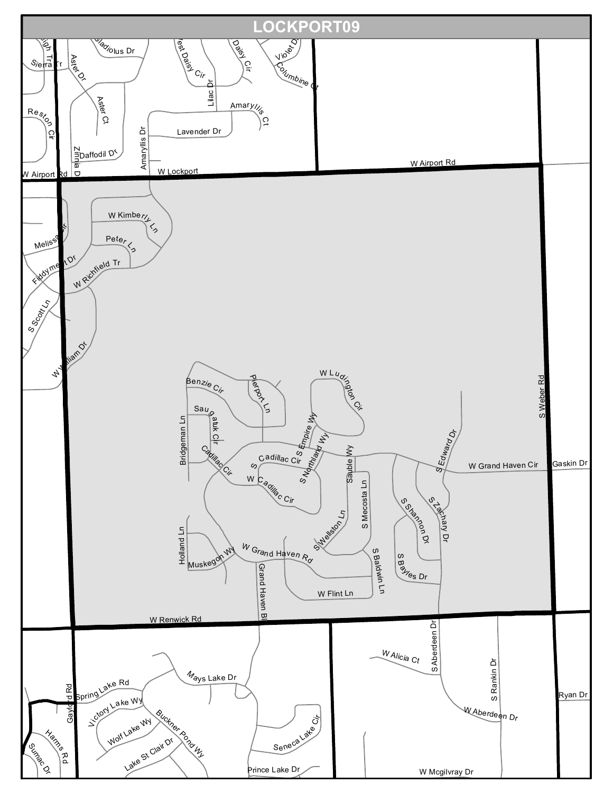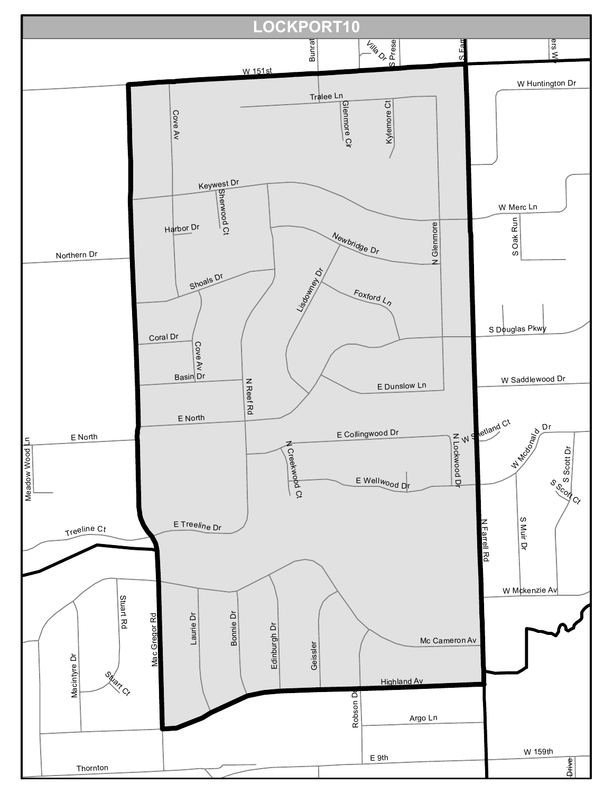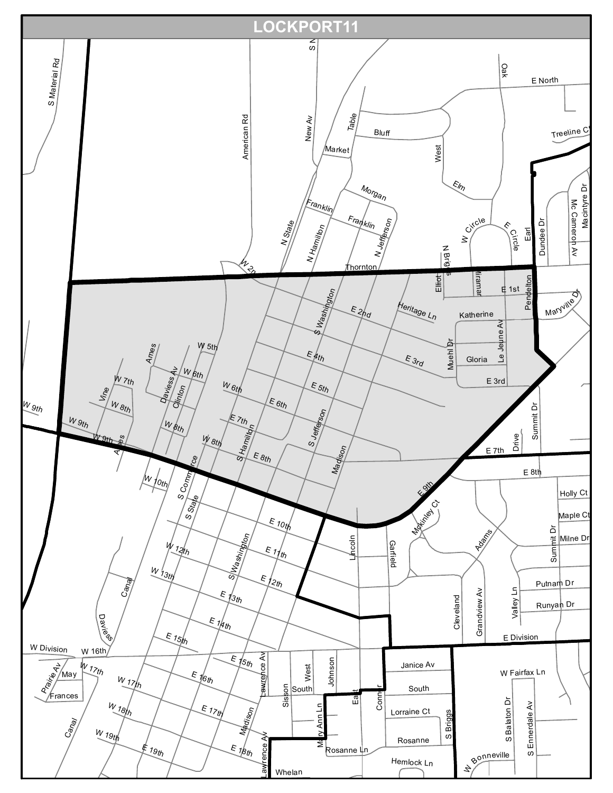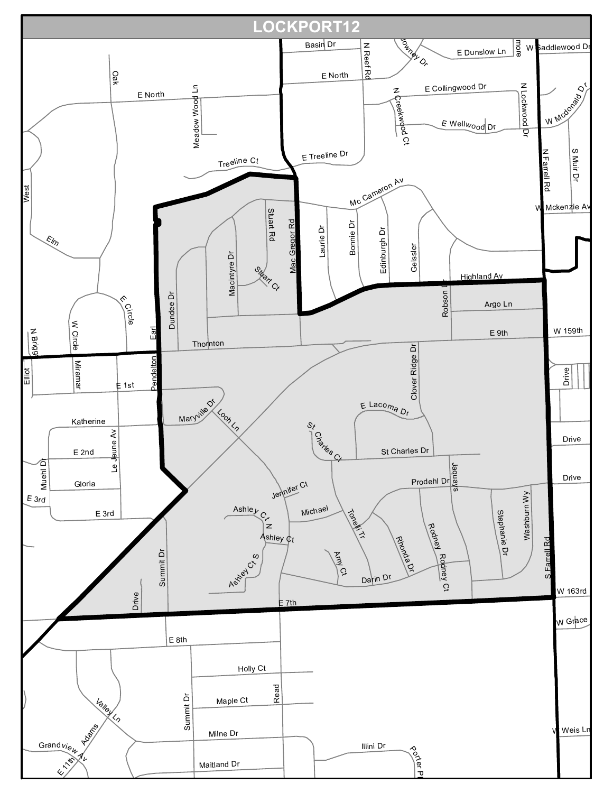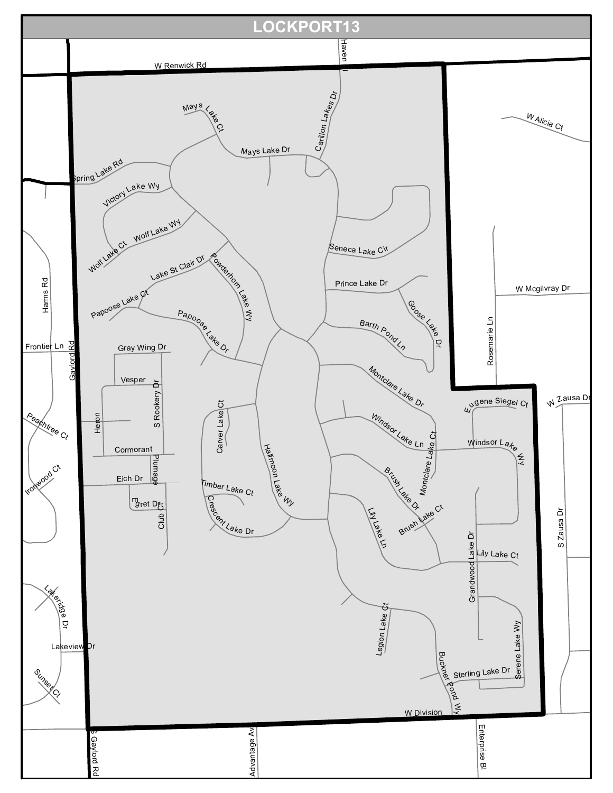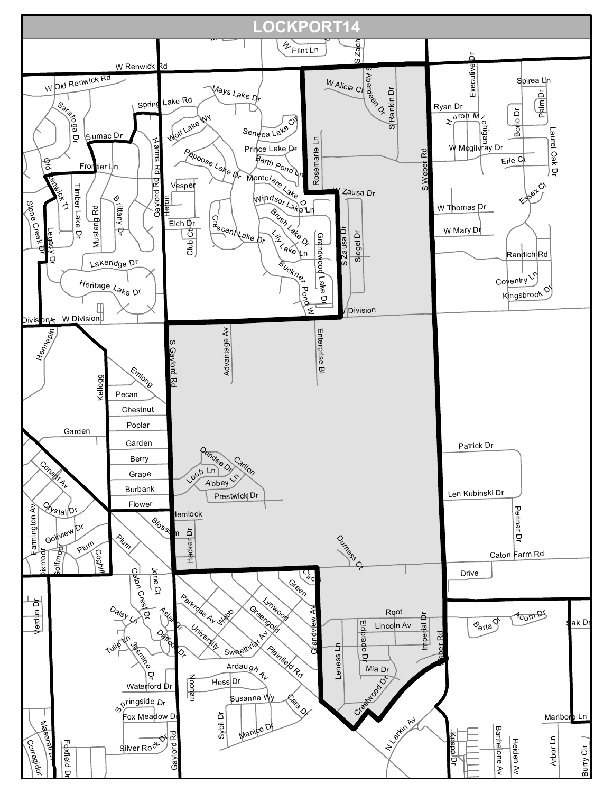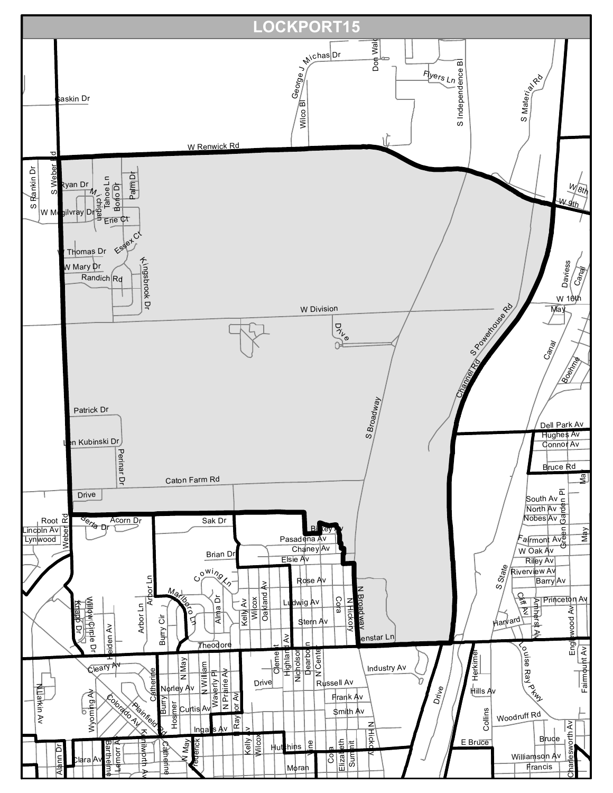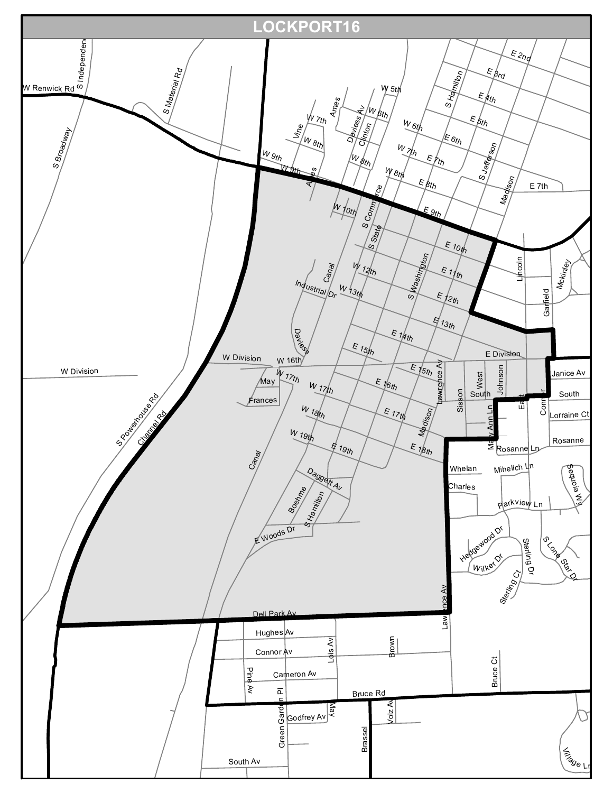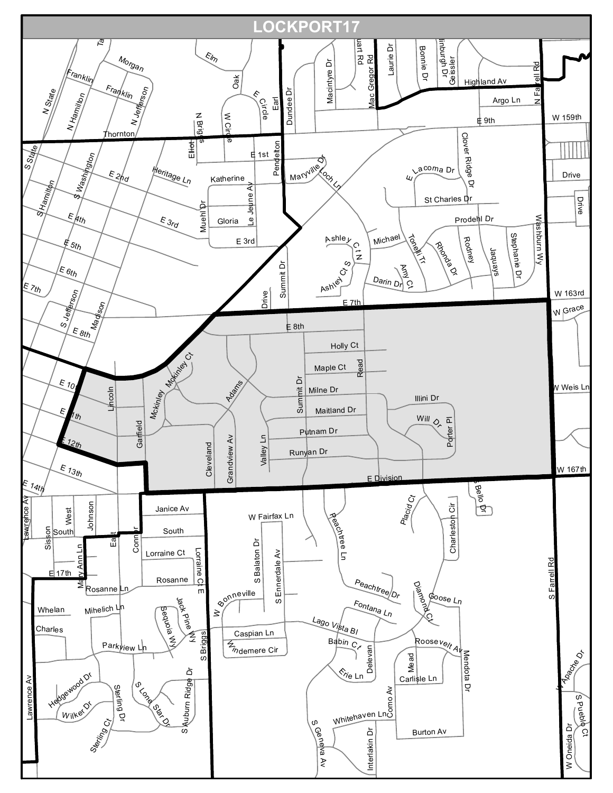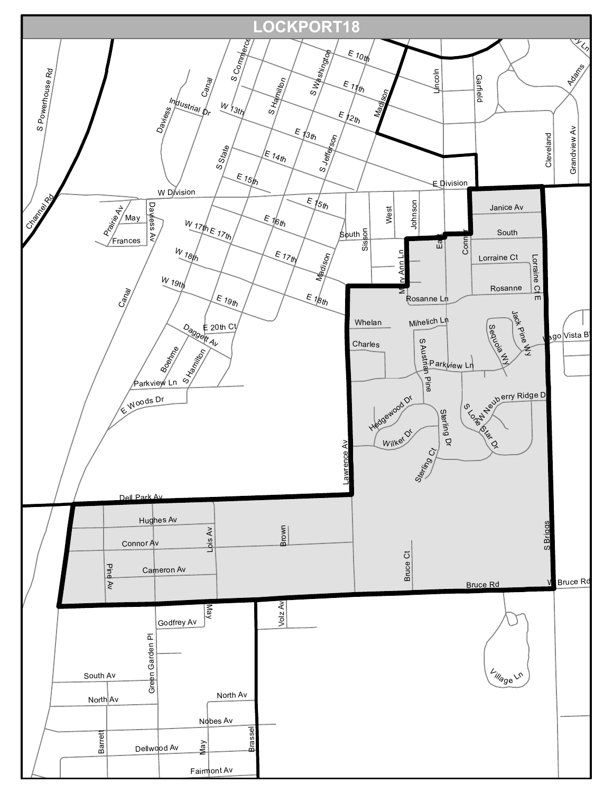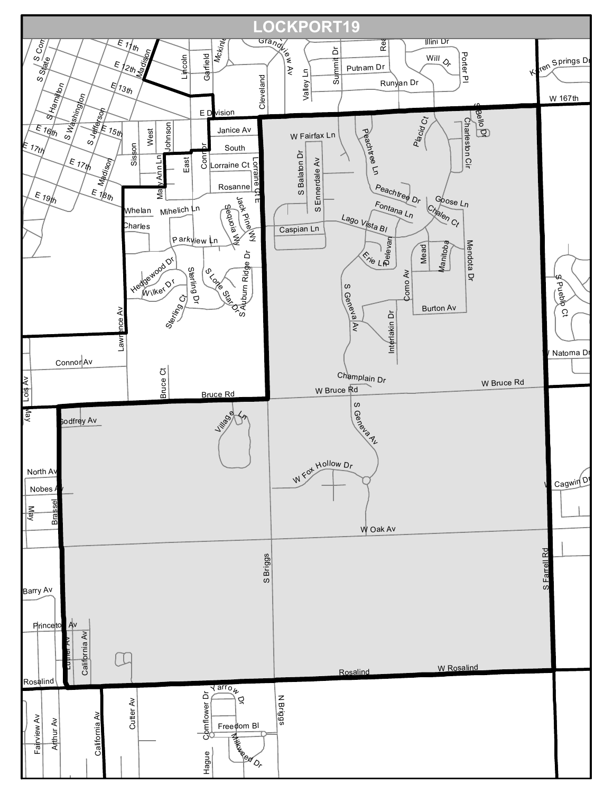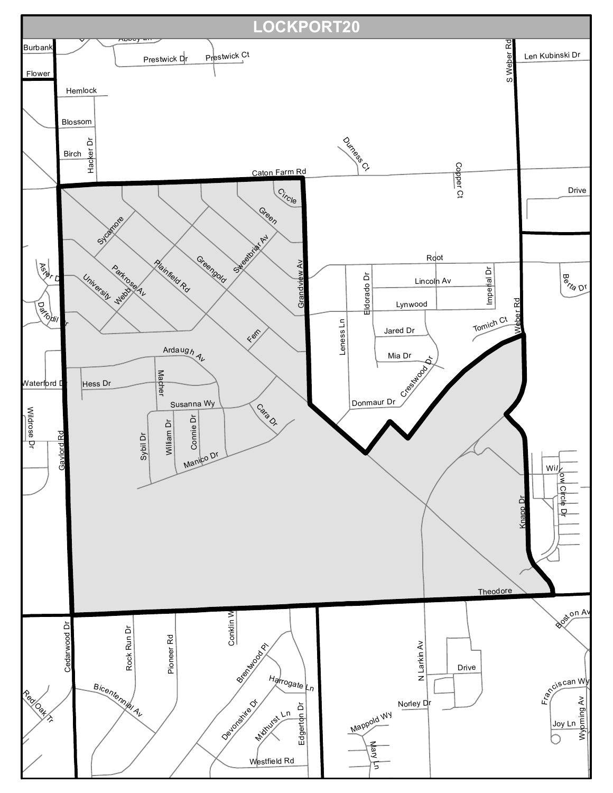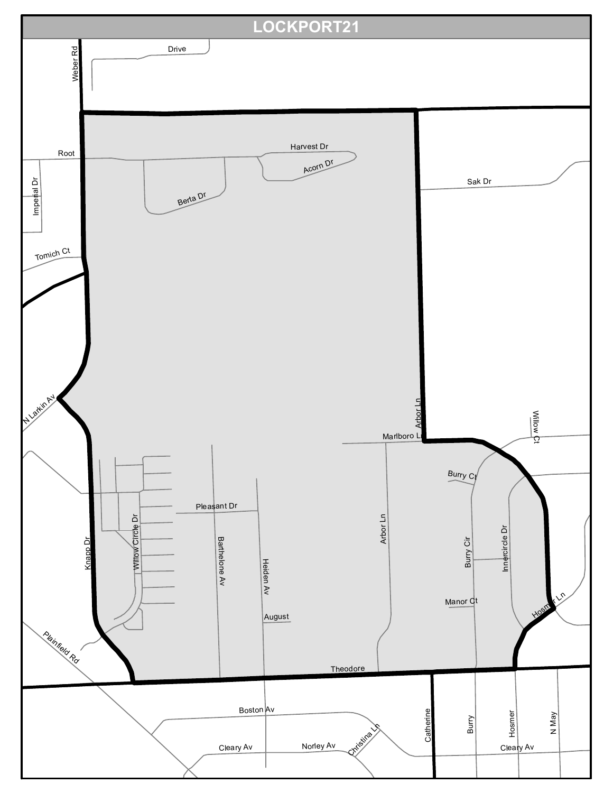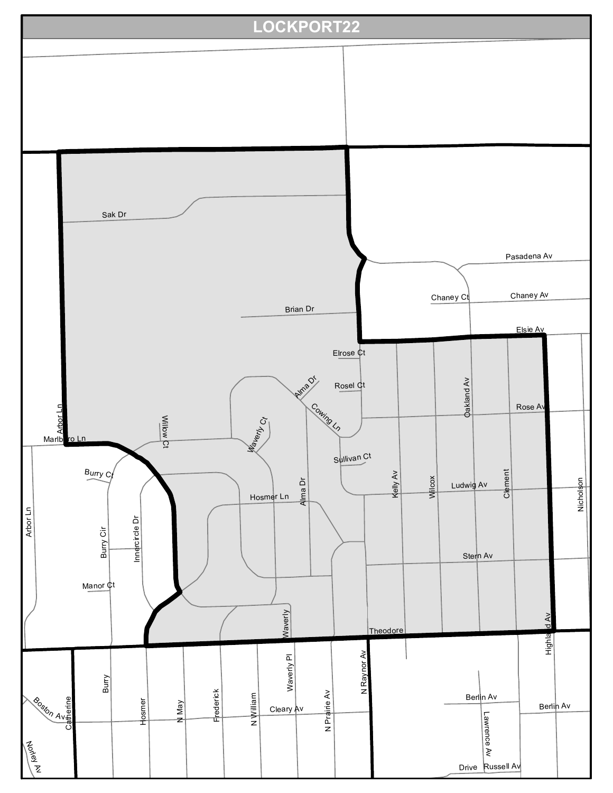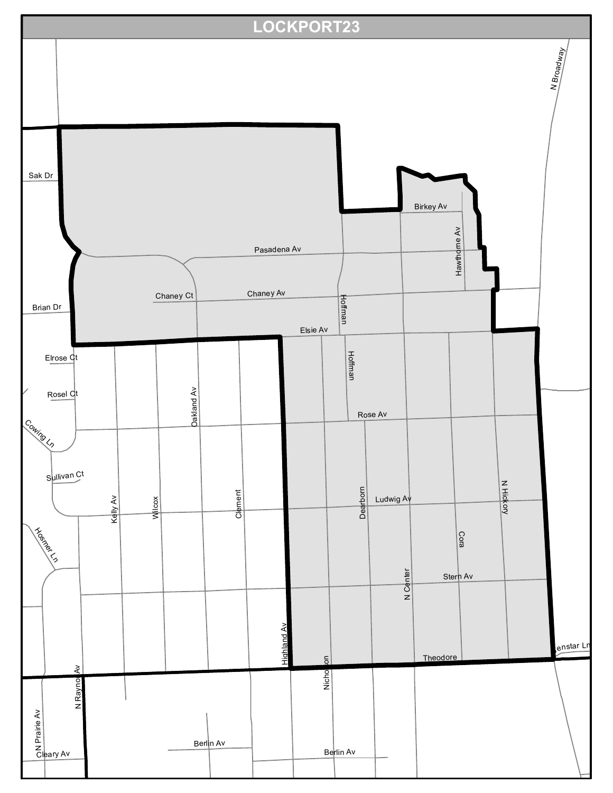